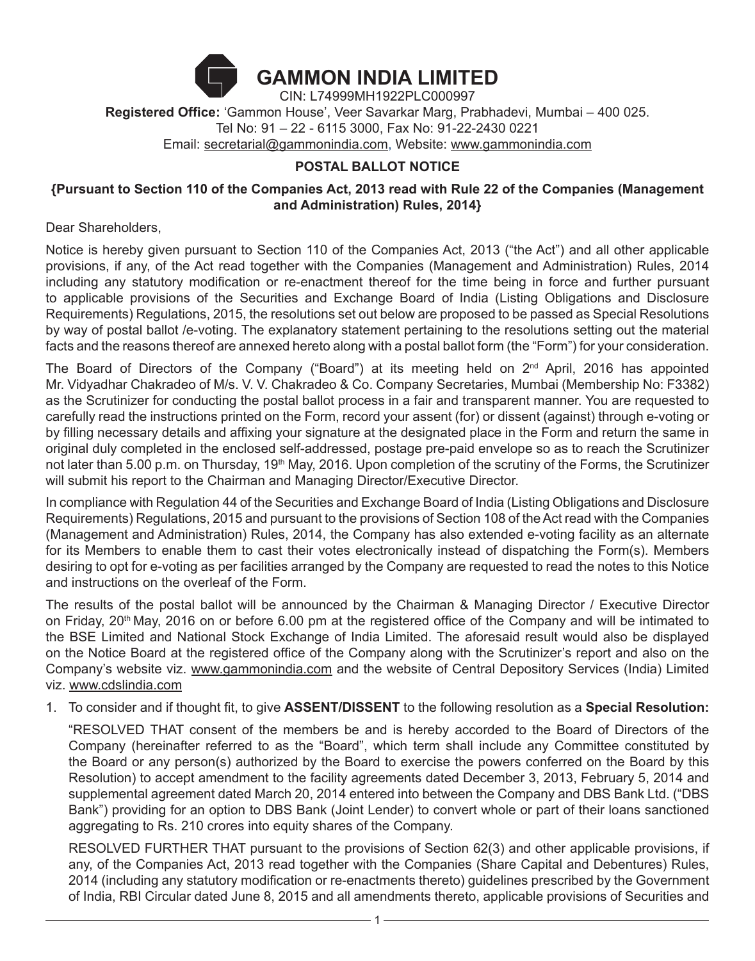

**Registered Office:** 'Gammon House', Veer Savarkar Marg, Prabhadevi, Mumbai – 400 025. Tel No: 91 – 22 - 6115 3000, Fax No: 91-22-2430 0221 Email: secretarial@gammonindia.com, Website: www.gammonindia.com

# **POSTAL BALLOT NOTICE**

# **{Pursuant to Section 110 of the Companies Act, 2013 read with Rule 22 of the Companies (Management and Administration) Rules, 2014}**

Dear Shareholders,

Notice is hereby given pursuant to Section 110 of the Companies Act, 2013 ("the Act") and all other applicable provisions, if any, of the Act read together with the Companies (Management and Administration) Rules, 2014 including any statutory modification or re-enactment thereof for the time being in force and further pursuant to applicable provisions of the Securities and Exchange Board of India (Listing Obligations and Disclosure Requirements) Regulations, 2015, the resolutions set out below are proposed to be passed as Special Resolutions by way of postal ballot /e-voting. The explanatory statement pertaining to the resolutions setting out the material facts and the reasons thereof are annexed hereto along with a postal ballot form (the "Form") for your consideration.

The Board of Directors of the Company ("Board") at its meeting held on 2<sup>nd</sup> April, 2016 has appointed Mr. Vidyadhar Chakradeo of M/s. V. V. Chakradeo & Co. Company Secretaries, Mumbai (Membership No: F3382) as the Scrutinizer for conducting the postal ballot process in a fair and transparent manner. You are requested to carefully read the instructions printed on the Form, record your assent (for) or dissent (against) through e-voting or by filling necessary details and affixing your signature at the designated place in the Form and return the same in original duly completed in the enclosed self-addressed, postage pre-paid envelope so as to reach the Scrutinizer not later than 5.00 p.m. on Thursday, 19<sup>th</sup> May, 2016. Upon completion of the scrutiny of the Forms, the Scrutinizer will submit his report to the Chairman and Managing Director/Executive Director.

In compliance with Regulation 44 of the Securities and Exchange Board of India (Listing Obligations and Disclosure Requirements) Regulations, 2015 and pursuant to the provisions of Section 108 of the Act read with the Companies (Management and Administration) Rules, 2014, the Company has also extended e-voting facility as an alternate for its Members to enable them to cast their votes electronically instead of dispatching the Form(s). Members desiring to opt for e-voting as per facilities arranged by the Company are requested to read the notes to this Notice and instructions on the overleaf of the Form.

The results of the postal ballot will be announced by the Chairman & Managing Director / Executive Director on Friday, 20th May, 2016 on or before 6.00 pm at the registered office of the Company and will be intimated to the BSE Limited and National Stock Exchange of India Limited. The aforesaid result would also be displayed on the Notice Board at the registered office of the Company along with the Scrutinizer's report and also on the Company's website viz. www.gammonindia.com and the website of Central Depository Services (India) Limited viz. www.cdslindia.com

1. To consider and if thought fit, to give **ASSENT/DISSENT** to the following resolution as a **Special Resolution:**

"RESOLVED THAT consent of the members be and is hereby accorded to the Board of Directors of the Company (hereinafter referred to as the "Board", which term shall include any Committee constituted by the Board or any person(s) authorized by the Board to exercise the powers conferred on the Board by this Resolution) to accept amendment to the facility agreements dated December 3, 2013, February 5, 2014 and supplemental agreement dated March 20, 2014 entered into between the Company and DBS Bank Ltd. ("DBS Bank") providing for an option to DBS Bank (Joint Lender) to convert whole or part of their loans sanctioned aggregating to Rs. 210 crores into equity shares of the Company.

RESOLVED FURTHER THAT pursuant to the provisions of Section 62(3) and other applicable provisions, if any, of the Companies Act, 2013 read together with the Companies (Share Capital and Debentures) Rules, 2014 (including any statutory modification or re-enactments thereto) guidelines prescribed by the Government of India, RBI Circular dated June 8, 2015 and all amendments thereto, applicable provisions of Securities and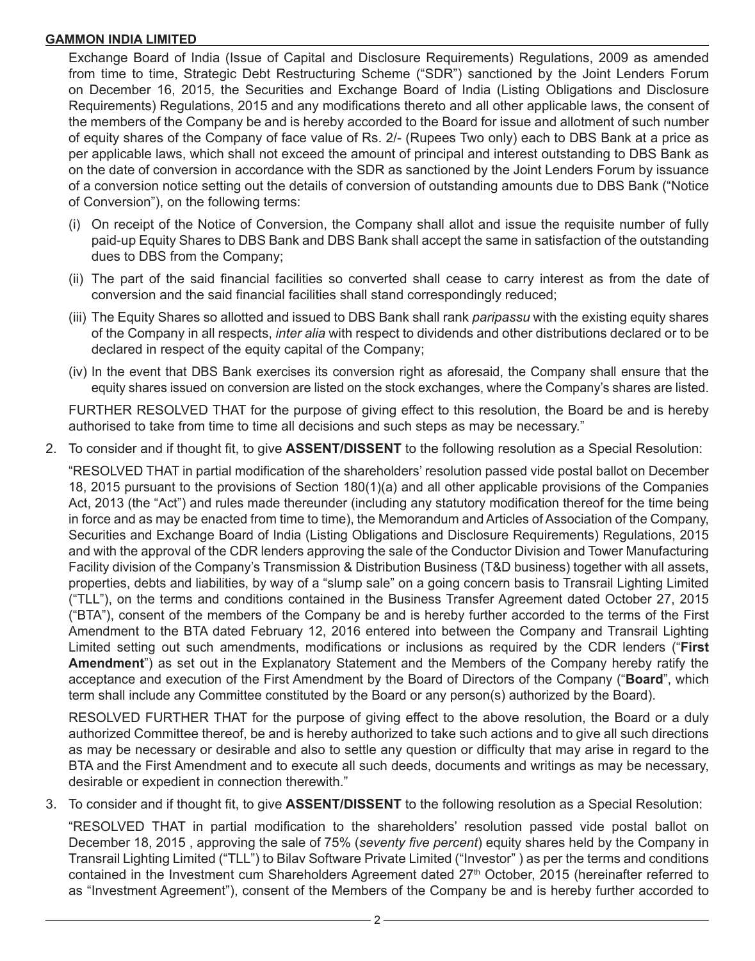Exchange Board of India (Issue of Capital and Disclosure Requirements) Regulations, 2009 as amended from time to time, Strategic Debt Restructuring Scheme ("SDR") sanctioned by the Joint Lenders Forum on December 16, 2015, the Securities and Exchange Board of India (Listing Obligations and Disclosure Requirements) Regulations, 2015 and any modifications thereto and all other applicable laws, the consent of the members of the Company be and is hereby accorded to the Board for issue and allotment of such number of equity shares of the Company of face value of Rs. 2/- (Rupees Two only) each to DBS Bank at a price as per applicable laws, which shall not exceed the amount of principal and interest outstanding to DBS Bank as on the date of conversion in accordance with the SDR as sanctioned by the Joint Lenders Forum by issuance of a conversion notice setting out the details of conversion of outstanding amounts due to DBS Bank ("Notice of Conversion"), on the following terms:

- (i) On receipt of the Notice of Conversion, the Company shall allot and issue the requisite number of fully paid-up Equity Shares to DBS Bank and DBS Bank shall accept the same in satisfaction of the outstanding dues to DBS from the Company;
- (ii) The part of the said financial facilities so converted shall cease to carry interest as from the date of conversion and the said financial facilities shall stand correspondingly reduced;
- (iii) The Equity Shares so allotted and issued to DBS Bank shall rank *paripassu* with the existing equity shares of the Company in all respects, *inter alia* with respect to dividends and other distributions declared or to be declared in respect of the equity capital of the Company;
- (iv) In the event that DBS Bank exercises its conversion right as aforesaid, the Company shall ensure that the equity shares issued on conversion are listed on the stock exchanges, where the Company's shares are listed.

FURTHER RESOLVED THAT for the purpose of giving effect to this resolution, the Board be and is hereby authorised to take from time to time all decisions and such steps as may be necessary."

2. To consider and if thought fit, to give **ASSENT/DISSENT** to the following resolution as a Special Resolution:

"RESOLVED THAT in partial modification of the shareholders' resolution passed vide postal ballot on December 18, 2015 pursuant to the provisions of Section 180(1)(a) and all other applicable provisions of the Companies Act, 2013 (the "Act") and rules made thereunder (including any statutory modification thereof for the time being in force and as may be enacted from time to time), the Memorandum and Articles of Association of the Company, Securities and Exchange Board of India (Listing Obligations and Disclosure Requirements) Regulations, 2015 and with the approval of the CDR lenders approving the sale of the Conductor Division and Tower Manufacturing Facility division of the Company's Transmission & Distribution Business (T&D business) together with all assets, properties, debts and liabilities, by way of a "slump sale" on a going concern basis to Transrail Lighting Limited ("TLL"), on the terms and conditions contained in the Business Transfer Agreement dated October 27, 2015 ("BTA"), consent of the members of the Company be and is hereby further accorded to the terms of the First Amendment to the BTA dated February 12, 2016 entered into between the Company and Transrail Lighting Limited setting out such amendments, modifications or inclusions as required by the CDR lenders ("**First Amendment**") as set out in the Explanatory Statement and the Members of the Company hereby ratify the acceptance and execution of the First Amendment by the Board of Directors of the Company ("**Board**", which term shall include any Committee constituted by the Board or any person(s) authorized by the Board).

RESOLVED FURTHER THAT for the purpose of giving effect to the above resolution, the Board or a duly authorized Committee thereof, be and is hereby authorized to take such actions and to give all such directions as may be necessary or desirable and also to settle any question or difficulty that may arise in regard to the BTA and the First Amendment and to execute all such deeds, documents and writings as may be necessary, desirable or expedient in connection therewith."

3. To consider and if thought fit, to give **ASSENT/DISSENT** to the following resolution as a Special Resolution:

"RESOLVED THAT in partial modification to the shareholders' resolution passed vide postal ballot on December 18, 2015 , approving the sale of 75% (*seventy five percent*) equity shares held by the Company in Transrail Lighting Limited ("TLL") to Bilav Software Private Limited ("Investor" ) as per the terms and conditions contained in the Investment cum Shareholders Agreement dated 27<sup>th</sup> October, 2015 (hereinafter referred to as "Investment Agreement"), consent of the Members of the Company be and is hereby further accorded to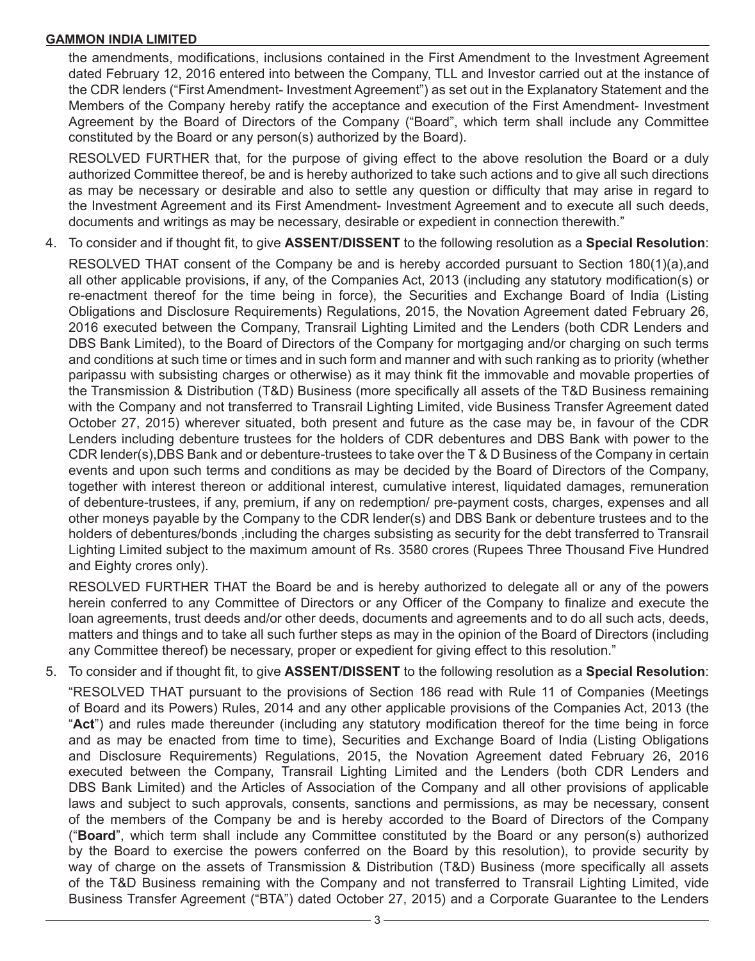the amendments, modifications, inclusions contained in the First Amendment to the Investment Agreement dated February 12, 2016 entered into between the Company, TLL and Investor carried out at the instance of the CDR lenders ("First Amendment- Investment Agreement") as set out in the Explanatory Statement and the Members of the Company hereby ratify the acceptance and execution of the First Amendment- Investment Agreement by the Board of Directors of the Company ("Board", which term shall include any Committee constituted by the Board or any person(s) authorized by the Board).

RESOLVED FURTHER that, for the purpose of giving effect to the above resolution the Board or a duly authorized Committee thereof, be and is hereby authorized to take such actions and to give all such directions as may be necessary or desirable and also to settle any question or difficulty that may arise in regard to the Investment Agreement and its First Amendment- Investment Agreement and to execute all such deeds, documents and writings as may be necessary, desirable or expedient in connection therewith."

4. To consider and if thought fit, to give **ASSENT/DISSENT** to the following resolution as a **Special Resolution**:

RESOLVED THAT consent of the Company be and is hereby accorded pursuant to Section 180(1)(a),and all other applicable provisions, if any, of the Companies Act, 2013 (including any statutory modification(s) or re-enactment thereof for the time being in force), the Securities and Exchange Board of India (Listing Obligations and Disclosure Requirements) Regulations, 2015, the Novation Agreement dated February 26, 2016 executed between the Company, Transrail Lighting Limited and the Lenders (both CDR Lenders and DBS Bank Limited), to the Board of Directors of the Company for mortgaging and/or charging on such terms and conditions at such time or times and in such form and manner and with such ranking as to priority (whether paripassu with subsisting charges or otherwise) as it may think fit the immovable and movable properties of the Transmission & Distribution (T&D) Business (more specifically all assets of the T&D Business remaining with the Company and not transferred to Transrail Lighting Limited, vide Business Transfer Agreement dated October 27, 2015) wherever situated, both present and future as the case may be, in favour of the CDR Lenders including debenture trustees for the holders of CDR debentures and DBS Bank with power to the CDR lender(s),DBS Bank and or debenture-trustees to take over the T & D Business of the Company in certain events and upon such terms and conditions as may be decided by the Board of Directors of the Company, together with interest thereon or additional interest, cumulative interest, liquidated damages, remuneration of debenture-trustees, if any, premium, if any on redemption/ pre-payment costs, charges, expenses and all other moneys payable by the Company to the CDR lender(s) and DBS Bank or debenture trustees and to the holders of debentures/bonds ,including the charges subsisting as security for the debt transferred to Transrail Lighting Limited subject to the maximum amount of Rs. 3580 crores (Rupees Three Thousand Five Hundred and Eighty crores only).

RESOLVED FURTHER THAT the Board be and is hereby authorized to delegate all or any of the powers herein conferred to any Committee of Directors or any Officer of the Company to finalize and execute the loan agreements, trust deeds and/or other deeds, documents and agreements and to do all such acts, deeds, matters and things and to take all such further steps as may in the opinion of the Board of Directors (including any Committee thereof) be necessary, proper or expedient for giving effect to this resolution."

- 5. To consider and if thought fit, to give **ASSENT/DISSENT** to the following resolution as a **Special Resolution**:
	- "RESOLVED THAT pursuant to the provisions of Section 186 read with Rule 11 of Companies (Meetings of Board and its Powers) Rules, 2014 and any other applicable provisions of the Companies Act, 2013 (the "**Act**") and rules made thereunder (including any statutory modification thereof for the time being in force and as may be enacted from time to time), Securities and Exchange Board of India (Listing Obligations and Disclosure Requirements) Regulations, 2015, the Novation Agreement dated February 26, 2016 executed between the Company, Transrail Lighting Limited and the Lenders (both CDR Lenders and DBS Bank Limited) and the Articles of Association of the Company and all other provisions of applicable laws and subject to such approvals, consents, sanctions and permissions, as may be necessary, consent of the members of the Company be and is hereby accorded to the Board of Directors of the Company ("**Board**", which term shall include any Committee constituted by the Board or any person(s) authorized by the Board to exercise the powers conferred on the Board by this resolution), to provide security by way of charge on the assets of Transmission & Distribution (T&D) Business (more specifically all assets of the T&D Business remaining with the Company and not transferred to Transrail Lighting Limited, vide Business Transfer Agreement ("BTA") dated October 27, 2015) and a Corporate Guarantee to the Lenders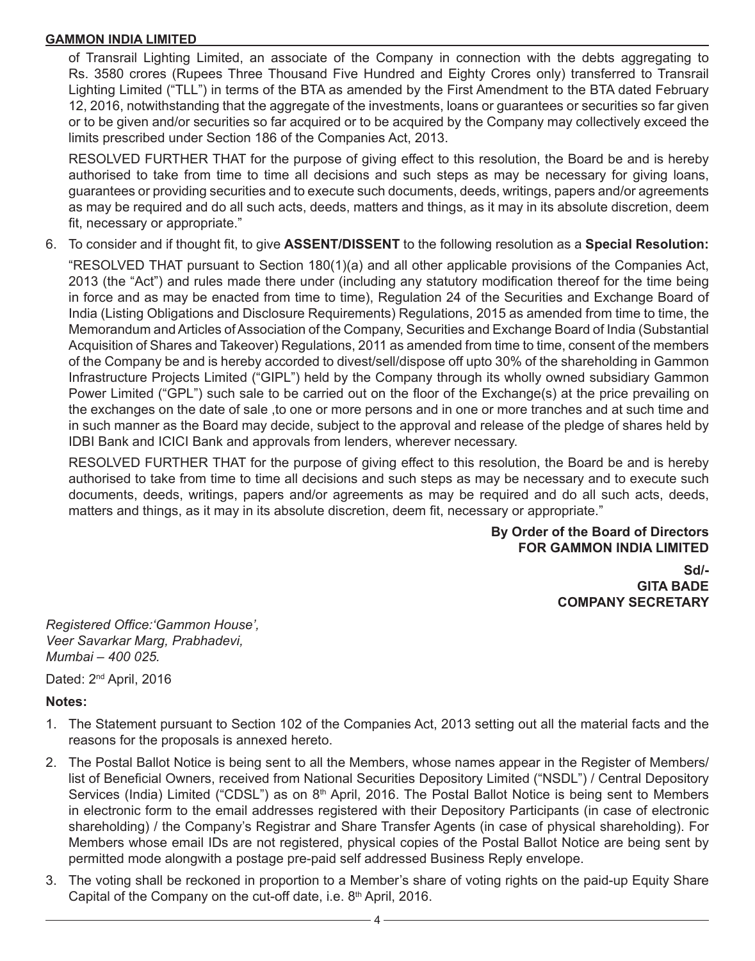of Transrail Lighting Limited, an associate of the Company in connection with the debts aggregating to Rs. 3580 crores (Rupees Three Thousand Five Hundred and Eighty Crores only) transferred to Transrail Lighting Limited ("TLL") in terms of the BTA as amended by the First Amendment to the BTA dated February 12, 2016, notwithstanding that the aggregate of the investments, loans or guarantees or securities so far given or to be given and/or securities so far acquired or to be acquired by the Company may collectively exceed the limits prescribed under Section 186 of the Companies Act, 2013.

RESOLVED FURTHER THAT for the purpose of giving effect to this resolution, the Board be and is hereby authorised to take from time to time all decisions and such steps as may be necessary for giving loans, guarantees or providing securities and to execute such documents, deeds, writings, papers and/or agreements as may be required and do all such acts, deeds, matters and things, as it may in its absolute discretion, deem fit, necessary or appropriate."

6. To consider and if thought fit, to give **ASSENT/DISSENT** to the following resolution as a **Special Resolution:**

"RESOLVED THAT pursuant to Section 180(1)(a) and all other applicable provisions of the Companies Act, 2013 (the "Act") and rules made there under (including any statutory modification thereof for the time being in force and as may be enacted from time to time), Regulation 24 of the Securities and Exchange Board of India (Listing Obligations and Disclosure Requirements) Regulations, 2015 as amended from time to time, the Memorandum and Articles of Association of the Company, Securities and Exchange Board of India (Substantial Acquisition of Shares and Takeover) Regulations, 2011 as amended from time to time, consent of the members of the Company be and is hereby accorded to divest/sell/dispose off upto 30% of the shareholding in Gammon Infrastructure Projects Limited ("GIPL") held by the Company through its wholly owned subsidiary Gammon Power Limited ("GPL") such sale to be carried out on the floor of the Exchange(s) at the price prevailing on the exchanges on the date of sale ,to one or more persons and in one or more tranches and at such time and in such manner as the Board may decide, subject to the approval and release of the pledge of shares held by IDBI Bank and ICICI Bank and approvals from lenders, wherever necessary.

RESOLVED FURTHER THAT for the purpose of giving effect to this resolution, the Board be and is hereby authorised to take from time to time all decisions and such steps as may be necessary and to execute such documents, deeds, writings, papers and/or agreements as may be required and do all such acts, deeds, matters and things, as it may in its absolute discretion, deem fit, necessary or appropriate."

# **By Order of the Board of Directors FOR GAMMON INDIA LIMITED**

**Sd/- GITA BADE COMPANY SECRETARY**

*Registered Office:'Gammon House', Veer Savarkar Marg, Prabhadevi, Mumbai – 400 025.*

Dated: 2<sup>nd</sup> April, 2016

# **Notes:**

- 1. The Statement pursuant to Section 102 of the Companies Act, 2013 setting out all the material facts and the reasons for the proposals is annexed hereto.
- 2. The Postal Ballot Notice is being sent to all the Members, whose names appear in the Register of Members/ list of Beneficial Owners, received from National Securities Depository Limited ("NSDL") / Central Depository Services (India) Limited ("CDSL") as on 8<sup>th</sup> April, 2016. The Postal Ballot Notice is being sent to Members in electronic form to the email addresses registered with their Depository Participants (in case of electronic shareholding) / the Company's Registrar and Share Transfer Agents (in case of physical shareholding). For Members whose email IDs are not registered, physical copies of the Postal Ballot Notice are being sent by permitted mode alongwith a postage pre-paid self addressed Business Reply envelope.
- 3. The voting shall be reckoned in proportion to a Member's share of voting rights on the paid-up Equity Share Capital of the Company on the cut-off date, i.e. 8<sup>th</sup> April, 2016.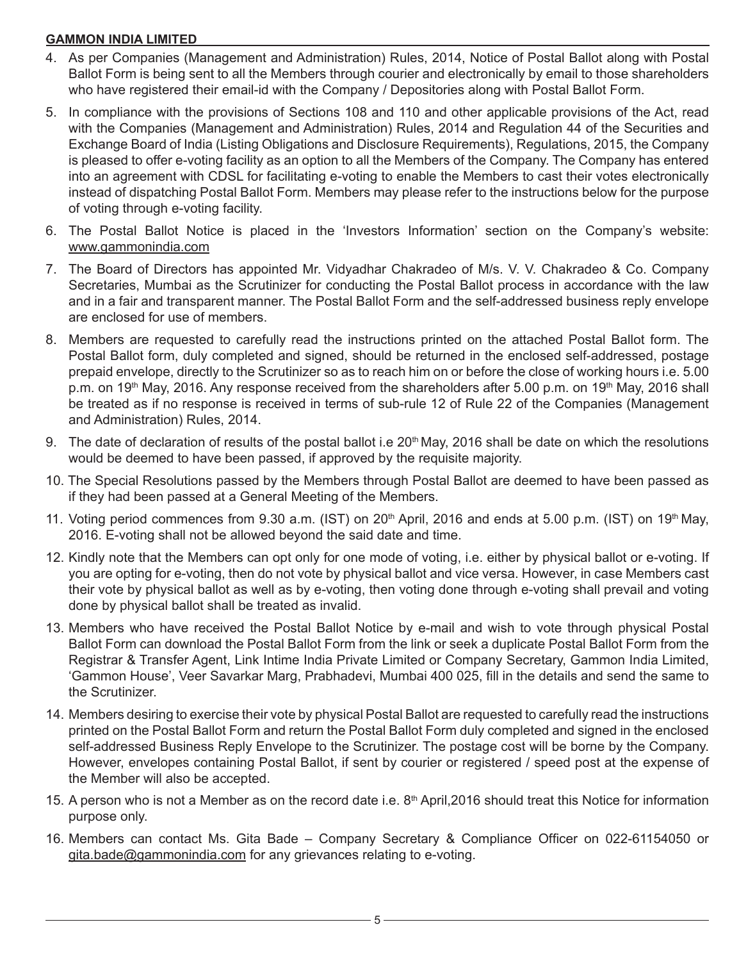- 4. As per Companies (Management and Administration) Rules, 2014, Notice of Postal Ballot along with Postal Ballot Form is being sent to all the Members through courier and electronically by email to those shareholders who have registered their email-id with the Company / Depositories along with Postal Ballot Form.
- 5. In compliance with the provisions of Sections 108 and 110 and other applicable provisions of the Act, read with the Companies (Management and Administration) Rules, 2014 and Regulation 44 of the Securities and Exchange Board of India (Listing Obligations and Disclosure Requirements), Regulations, 2015, the Company is pleased to offer e-voting facility as an option to all the Members of the Company. The Company has entered into an agreement with CDSL for facilitating e-voting to enable the Members to cast their votes electronically instead of dispatching Postal Ballot Form. Members may please refer to the instructions below for the purpose of voting through e-voting facility.
- 6. The Postal Ballot Notice is placed in the 'Investors Information' section on the Company's website: www.gammonindia.com
- 7. The Board of Directors has appointed Mr. Vidyadhar Chakradeo of M/s. V. V. Chakradeo & Co. Company Secretaries, Mumbai as the Scrutinizer for conducting the Postal Ballot process in accordance with the law and in a fair and transparent manner. The Postal Ballot Form and the self-addressed business reply envelope are enclosed for use of members.
- 8. Members are requested to carefully read the instructions printed on the attached Postal Ballot form. The Postal Ballot form, duly completed and signed, should be returned in the enclosed self-addressed, postage prepaid envelope, directly to the Scrutinizer so as to reach him on or before the close of working hours i.e. 5.00 p.m. on 19<sup>th</sup> May, 2016. Any response received from the shareholders after 5.00 p.m. on 19<sup>th</sup> May, 2016 shall be treated as if no response is received in terms of sub-rule 12 of Rule 22 of the Companies (Management and Administration) Rules, 2014.
- 9. The date of declaration of results of the postal ballot i.e 20<sup>th</sup> May, 2016 shall be date on which the resolutions would be deemed to have been passed, if approved by the requisite majority.
- 10. The Special Resolutions passed by the Members through Postal Ballot are deemed to have been passed as if they had been passed at a General Meeting of the Members.
- 11. Voting period commences from 9.30 a.m. (IST) on 20<sup>th</sup> April, 2016 and ends at 5.00 p.m. (IST) on 19<sup>th</sup> May, 2016. E-voting shall not be allowed beyond the said date and time.
- 12. Kindly note that the Members can opt only for one mode of voting, i.e. either by physical ballot or e-voting. If you are opting for e-voting, then do not vote by physical ballot and vice versa. However, in case Members cast their vote by physical ballot as well as by e-voting, then voting done through e-voting shall prevail and voting done by physical ballot shall be treated as invalid.
- 13. Members who have received the Postal Ballot Notice by e-mail and wish to vote through physical Postal Ballot Form can download the Postal Ballot Form from the link or seek a duplicate Postal Ballot Form from the Registrar & Transfer Agent, Link Intime India Private Limited or Company Secretary, Gammon India Limited, 'Gammon House', Veer Savarkar Marg, Prabhadevi, Mumbai 400 025, fill in the details and send the same to the Scrutinizer.
- 14. Members desiring to exercise their vote by physical Postal Ballot are requested to carefully read the instructions printed on the Postal Ballot Form and return the Postal Ballot Form duly completed and signed in the enclosed self-addressed Business Reply Envelope to the Scrutinizer. The postage cost will be borne by the Company. However, envelopes containing Postal Ballot, if sent by courier or registered / speed post at the expense of the Member will also be accepted.
- 15. A person who is not a Member as on the record date i.e.  $8<sup>th</sup>$  April, 2016 should treat this Notice for information purpose only.
- 16. Members can contact Ms. Gita Bade Company Secretary & Compliance Officer on 022-61154050 or gita.bade@gammonindia.com for any grievances relating to e-voting.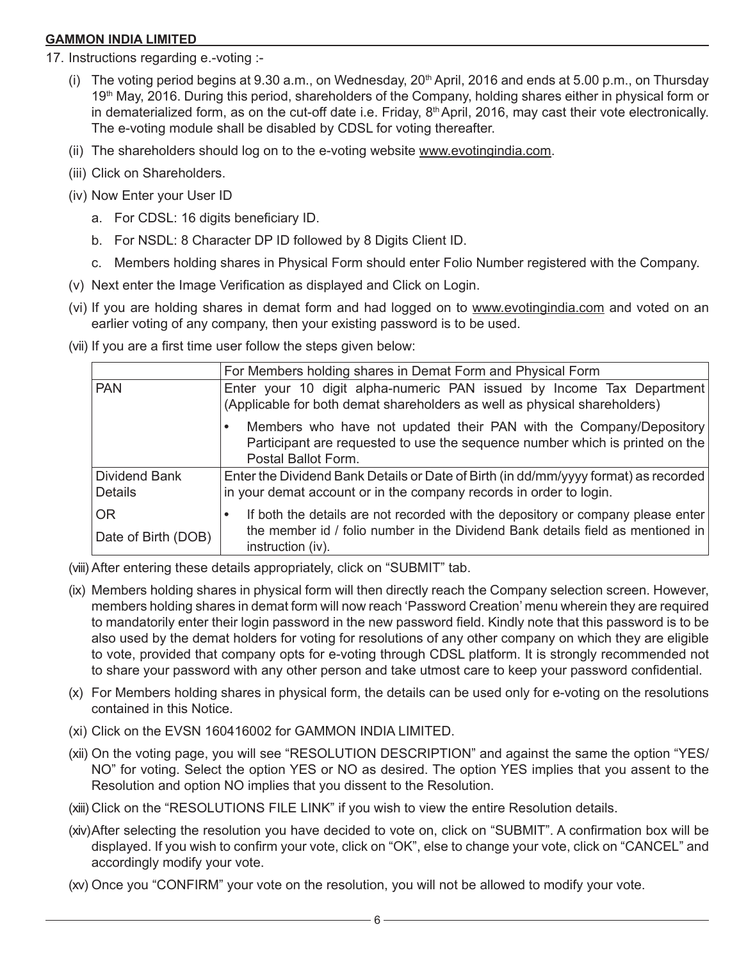17. Instructions regarding e.-voting :-

- (i) The voting period begins at  $9.30$  a.m., on Wednesday,  $20<sup>th</sup>$  April, 2016 and ends at 5.00 p.m., on Thursday 19<sup>th</sup> May, 2016. During this period, shareholders of the Company, holding shares either in physical form or in dematerialized form, as on the cut-off date i.e. Friday, 8<sup>th</sup> April, 2016, may cast their vote electronically. The e-voting module shall be disabled by CDSL for voting thereafter.
- (ii) The shareholders should log on to the e-voting website www.evotingindia.com.
- (iii) Click on Shareholders.
- (iv) Now Enter your User ID
	- a. For CDSL: 16 digits beneficiary ID.
	- b. For NSDL: 8 Character DP ID followed by 8 Digits Client ID.
	- c. Members holding shares in Physical Form should enter Folio Number registered with the Company.
- (v) Next enter the Image Verification as displayed and Click on Login.
- (vi) If you are holding shares in demat form and had logged on to www.evotingindia.com and voted on an earlier voting of any company, then your existing password is to be used.
- (vii) If you are a first time user follow the steps given below:

|                                 | For Members holding shares in Demat Form and Physical Form                                                                                                                               |  |  |  |  |
|---------------------------------|------------------------------------------------------------------------------------------------------------------------------------------------------------------------------------------|--|--|--|--|
| <b>PAN</b>                      | Enter your 10 digit alpha-numeric PAN issued by Income Tax Department<br>(Applicable for both demat shareholders as well as physical shareholders)                                       |  |  |  |  |
|                                 | Members who have not updated their PAN with the Company/Depository<br>Participant are requested to use the sequence number which is printed on the<br>Postal Ballot Form.                |  |  |  |  |
| Dividend Bank<br><b>Details</b> | Enter the Dividend Bank Details or Date of Birth (in dd/mm/yyyy format) as recorded<br>in your demat account or in the company records in order to login.                                |  |  |  |  |
| OR.<br>Date of Birth (DOB)      | If both the details are not recorded with the depository or company please enter<br>the member id / folio number in the Dividend Bank details field as mentioned in<br>instruction (iv). |  |  |  |  |

- (viii) After entering these details appropriately, click on "SUBMIT" tab.
- (ix) Members holding shares in physical form will then directly reach the Company selection screen. However, members holding shares in demat form will now reach 'Password Creation' menu wherein they are required to mandatorily enter their login password in the new password field. Kindly note that this password is to be also used by the demat holders for voting for resolutions of any other company on which they are eligible to vote, provided that company opts for e-voting through CDSL platform. It is strongly recommended not to share your password with any other person and take utmost care to keep your password confidential.
- (x) For Members holding shares in physical form, the details can be used only for e-voting on the resolutions contained in this Notice.
- (xi) Click on the EVSN 160416002 for GAMMON INDIA LIMITED.
- (xii) On the voting page, you will see "RESOLUTION DESCRIPTION" and against the same the option "YES/ NO" for voting. Select the option YES or NO as desired. The option YES implies that you assent to the Resolution and option NO implies that you dissent to the Resolution.
- (xiii) Click on the "RESOLUTIONS FILE LINK" if you wish to view the entire Resolution details.
- (xiv)After selecting the resolution you have decided to vote on, click on "SUBMIT". A confirmation box will be displayed. If you wish to confirm your vote, click on "OK", else to change your vote, click on "CANCEL" and accordingly modify your vote.
- (xv) Once you "CONFIRM" your vote on the resolution, you will not be allowed to modify your vote.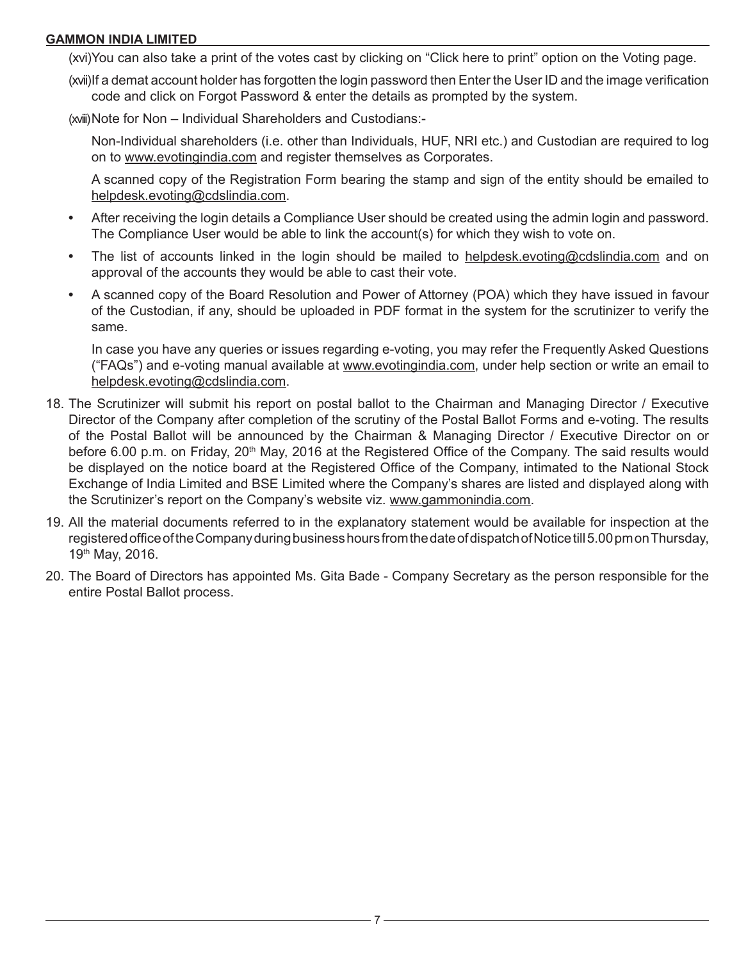(xvi)You can also take a print of the votes cast by clicking on "Click here to print" option on the Voting page.

(xvii)If a demat account holder has forgotten the login password then Enter the User ID and the image verification code and click on Forgot Password & enter the details as prompted by the system.

(xviii)Note for Non – Individual Shareholders and Custodians:-

Non-Individual shareholders (i.e. other than Individuals, HUF, NRI etc.) and Custodian are required to log on to www.evotingindia.com and register themselves as Corporates.

A scanned copy of the Registration Form bearing the stamp and sign of the entity should be emailed to helpdesk.evoting@cdslindia.com.

- **•** After receiving the login details a Compliance User should be created using the admin login and password. The Compliance User would be able to link the account(s) for which they wish to vote on.
- The list of accounts linked in the login should be mailed to helpdesk.evoting@cdslindia.com and on approval of the accounts they would be able to cast their vote.
- **•** A scanned copy of the Board Resolution and Power of Attorney (POA) which they have issued in favour of the Custodian, if any, should be uploaded in PDF format in the system for the scrutinizer to verify the same.

In case you have any queries or issues regarding e-voting, you may refer the Frequently Asked Questions ("FAQs") and e-voting manual available at www.evotingindia.com, under help section or write an email to helpdesk.evoting@cdslindia.com.

- 18. The Scrutinizer will submit his report on postal ballot to the Chairman and Managing Director / Executive Director of the Company after completion of the scrutiny of the Postal Ballot Forms and e-voting. The results of the Postal Ballot will be announced by the Chairman & Managing Director / Executive Director on or before 6.00 p.m. on Friday, 20<sup>th</sup> May, 2016 at the Registered Office of the Company. The said results would be displayed on the notice board at the Registered Office of the Company, intimated to the National Stock Exchange of India Limited and BSE Limited where the Company's shares are listed and displayed along with the Scrutinizer's report on the Company's website viz. www.gammonindia.com.
- 19. All the material documents referred to in the explanatory statement would be available for inspection at the registered office of the Company during business hours from the date of dispatch of Notice till 5.00 pm on Thursday, 19th May, 2016.
- 20. The Board of Directors has appointed Ms. Gita Bade Company Secretary as the person responsible for the entire Postal Ballot process.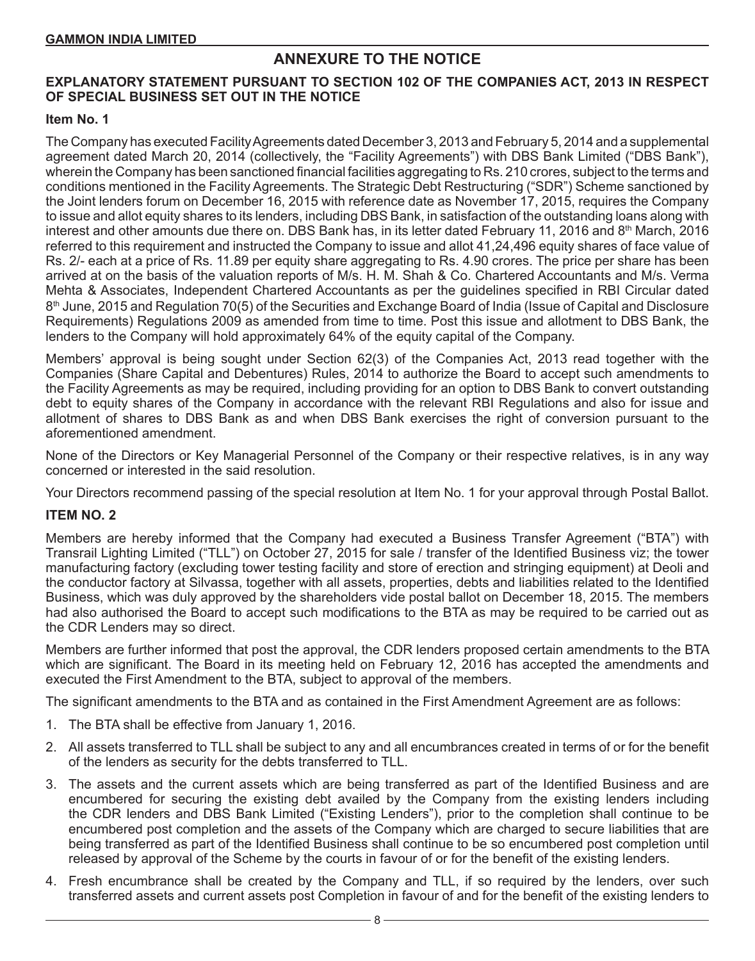# **ANNEXURE TO THE NOTICE**

### **EXPLANATORY STATEMENT PURSUANT TO SECTION 102 OF THE COMPANIES ACT, 2013 IN RESPECT OF SPECIAL BUSINESS SET OUT IN THE NOTICE**

#### **Item No. 1**

The Company has executed Facility Agreements dated December 3, 2013 and February 5, 2014 and a supplemental agreement dated March 20, 2014 (collectively, the "Facility Agreements") with DBS Bank Limited ("DBS Bank"), wherein the Company has been sanctioned financial facilities aggregating to Rs. 210 crores, subject to the terms and conditions mentioned in the Facility Agreements. The Strategic Debt Restructuring ("SDR") Scheme sanctioned by the Joint lenders forum on December 16, 2015 with reference date as November 17, 2015, requires the Company to issue and allot equity shares to its lenders, including DBS Bank, in satisfaction of the outstanding loans along with interest and other amounts due there on. DBS Bank has, in its letter dated February 11, 2016 and 8<sup>th</sup> March, 2016 referred to this requirement and instructed the Company to issue and allot 41,24,496 equity shares of face value of Rs. 2/- each at a price of Rs. 11.89 per equity share aggregating to Rs. 4.90 crores. The price per share has been arrived at on the basis of the valuation reports of M/s. H. M. Shah & Co. Chartered Accountants and M/s. Verma Mehta & Associates, Independent Chartered Accountants as per the guidelines specified in RBI Circular dated 8th June, 2015 and Regulation 70(5) of the Securities and Exchange Board of India (Issue of Capital and Disclosure Requirements) Regulations 2009 as amended from time to time. Post this issue and allotment to DBS Bank, the lenders to the Company will hold approximately 64% of the equity capital of the Company.

Members' approval is being sought under Section 62(3) of the Companies Act, 2013 read together with the Companies (Share Capital and Debentures) Rules, 2014 to authorize the Board to accept such amendments to the Facility Agreements as may be required, including providing for an option to DBS Bank to convert outstanding debt to equity shares of the Company in accordance with the relevant RBI Regulations and also for issue and allotment of shares to DBS Bank as and when DBS Bank exercises the right of conversion pursuant to the aforementioned amendment.

None of the Directors or Key Managerial Personnel of the Company or their respective relatives, is in any way concerned or interested in the said resolution.

Your Directors recommend passing of the special resolution at Item No. 1 for your approval through Postal Ballot.

# **ITEM NO. 2**

Members are hereby informed that the Company had executed a Business Transfer Agreement ("BTA") with Transrail Lighting Limited ("TLL") on October 27, 2015 for sale / transfer of the Identified Business viz; the tower manufacturing factory (excluding tower testing facility and store of erection and stringing equipment) at Deoli and the conductor factory at Silvassa, together with all assets, properties, debts and liabilities related to the Identified Business, which was duly approved by the shareholders vide postal ballot on December 18, 2015. The members had also authorised the Board to accept such modifications to the BTA as may be required to be carried out as the CDR Lenders may so direct.

Members are further informed that post the approval, the CDR lenders proposed certain amendments to the BTA which are significant. The Board in its meeting held on February 12, 2016 has accepted the amendments and executed the First Amendment to the BTA, subject to approval of the members.

The significant amendments to the BTA and as contained in the First Amendment Agreement are as follows:

- 1. The BTA shall be effective from January 1, 2016.
- 2. All assets transferred to TLL shall be subject to any and all encumbrances created in terms of or for the benefit of the lenders as security for the debts transferred to TLL.
- 3. The assets and the current assets which are being transferred as part of the Identified Business and are encumbered for securing the existing debt availed by the Company from the existing lenders including the CDR lenders and DBS Bank Limited ("Existing Lenders"), prior to the completion shall continue to be encumbered post completion and the assets of the Company which are charged to secure liabilities that are being transferred as part of the Identified Business shall continue to be so encumbered post completion until released by approval of the Scheme by the courts in favour of or for the benefit of the existing lenders.
- 4. Fresh encumbrance shall be created by the Company and TLL, if so required by the lenders, over such transferred assets and current assets post Completion in favour of and for the benefit of the existing lenders to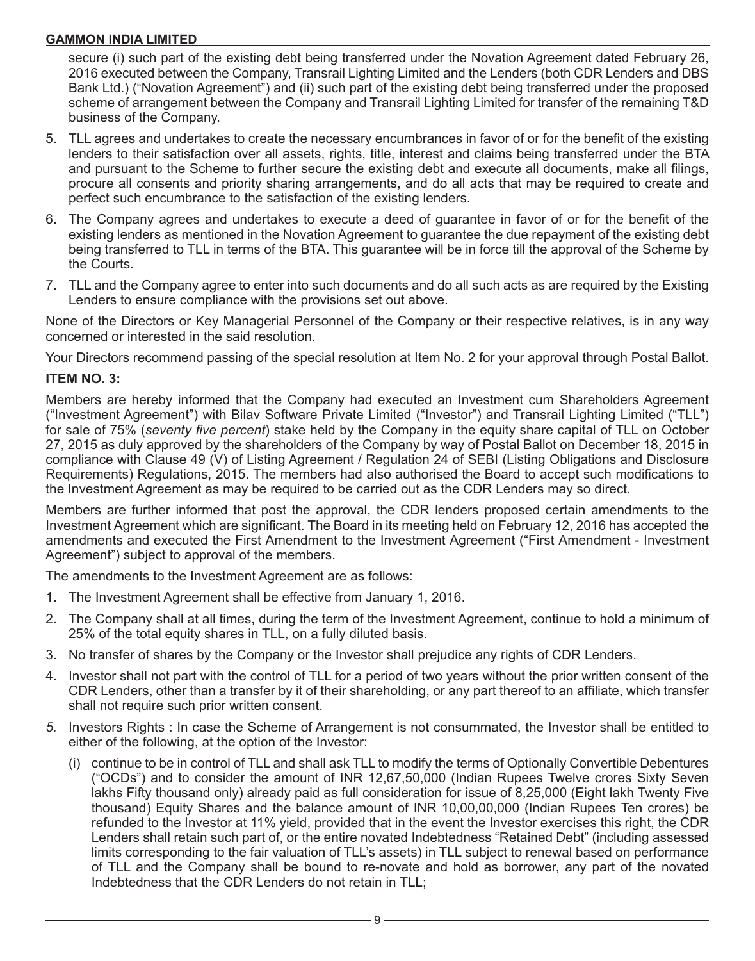secure (i) such part of the existing debt being transferred under the Novation Agreement dated February 26, 2016 executed between the Company, Transrail Lighting Limited and the Lenders (both CDR Lenders and DBS Bank Ltd.) ("Novation Agreement") and (ii) such part of the existing debt being transferred under the proposed scheme of arrangement between the Company and Transrail Lighting Limited for transfer of the remaining T&D business of the Company.

- 5. TLL agrees and undertakes to create the necessary encumbrances in favor of or for the benefit of the existing lenders to their satisfaction over all assets, rights, title, interest and claims being transferred under the BTA and pursuant to the Scheme to further secure the existing debt and execute all documents, make all filings, procure all consents and priority sharing arrangements, and do all acts that may be required to create and perfect such encumbrance to the satisfaction of the existing lenders.
- 6. The Company agrees and undertakes to execute a deed of guarantee in favor of or for the benefit of the existing lenders as mentioned in the Novation Agreement to guarantee the due repayment of the existing debt being transferred to TLL in terms of the BTA. This guarantee will be in force till the approval of the Scheme by the Courts.
- 7. TLL and the Company agree to enter into such documents and do all such acts as are required by the Existing Lenders to ensure compliance with the provisions set out above.

None of the Directors or Key Managerial Personnel of the Company or their respective relatives, is in any way concerned or interested in the said resolution.

Your Directors recommend passing of the special resolution at Item No. 2 for your approval through Postal Ballot.

# **ITEM NO. 3:**

Members are hereby informed that the Company had executed an Investment cum Shareholders Agreement ("Investment Agreement") with Bilav Software Private Limited ("Investor") and Transrail Lighting Limited ("TLL") for sale of 75% (*seventy five percent*) stake held by the Company in the equity share capital of TLL on October 27, 2015 as duly approved by the shareholders of the Company by way of Postal Ballot on December 18, 2015 in compliance with Clause 49 (V) of Listing Agreement / Regulation 24 of SEBI (Listing Obligations and Disclosure Requirements) Regulations, 2015. The members had also authorised the Board to accept such modifications to the Investment Agreement as may be required to be carried out as the CDR Lenders may so direct.

Members are further informed that post the approval, the CDR lenders proposed certain amendments to the Investment Agreement which are significant. The Board in its meeting held on February 12, 2016 has accepted the amendments and executed the First Amendment to the Investment Agreement ("First Amendment - Investment Agreement") subject to approval of the members.

The amendments to the Investment Agreement are as follows:

- 1. The Investment Agreement shall be effective from January 1, 2016.
- 2. The Company shall at all times, during the term of the Investment Agreement, continue to hold a minimum of 25% of the total equity shares in TLL, on a fully diluted basis.
- 3. No transfer of shares by the Company or the Investor shall prejudice any rights of CDR Lenders.
- 4. Investor shall not part with the control of TLL for a period of two years without the prior written consent of the CDR Lenders, other than a transfer by it of their shareholding, or any part thereof to an affiliate, which transfer shall not require such prior written consent.
- *5.* Investors Rights : In case the Scheme of Arrangement is not consummated, the Investor shall be entitled to either of the following, at the option of the Investor:
	- (i) continue to be in control of TLL and shall ask TLL to modify the terms of Optionally Convertible Debentures ("OCDs") and to consider the amount of INR 12,67,50,000 (Indian Rupees Twelve crores Sixty Seven lakhs Fifty thousand only) already paid as full consideration for issue of 8,25,000 (Eight lakh Twenty Five thousand) Equity Shares and the balance amount of INR 10,00,00,000 (Indian Rupees Ten crores) be refunded to the Investor at 11% yield, provided that in the event the Investor exercises this right, the CDR Lenders shall retain such part of, or the entire novated Indebtedness "Retained Debt" (including assessed limits corresponding to the fair valuation of TLL's assets) in TLL subject to renewal based on performance of TLL and the Company shall be bound to re-novate and hold as borrower, any part of the novated Indebtedness that the CDR Lenders do not retain in TLL;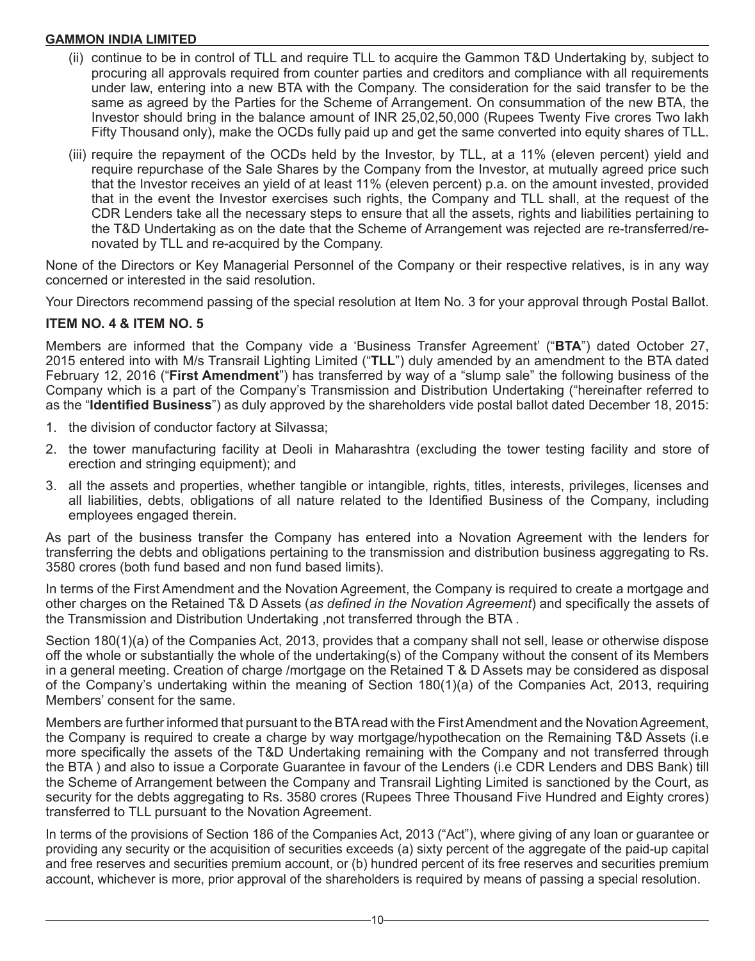- (ii) continue to be in control of TLL and require TLL to acquire the Gammon T&D Undertaking by, subject to procuring all approvals required from counter parties and creditors and compliance with all requirements under law, entering into a new BTA with the Company. The consideration for the said transfer to be the same as agreed by the Parties for the Scheme of Arrangement. On consummation of the new BTA, the Investor should bring in the balance amount of INR 25,02,50,000 (Rupees Twenty Five crores Two lakh Fifty Thousand only), make the OCDs fully paid up and get the same converted into equity shares of TLL.
- (iii) require the repayment of the OCDs held by the Investor, by TLL, at a 11% (eleven percent) yield and require repurchase of the Sale Shares by the Company from the Investor, at mutually agreed price such that the Investor receives an yield of at least 11% (eleven percent) p.a. on the amount invested, provided that in the event the Investor exercises such rights, the Company and TLL shall, at the request of the CDR Lenders take all the necessary steps to ensure that all the assets, rights and liabilities pertaining to the T&D Undertaking as on the date that the Scheme of Arrangement was rejected are re-transferred/renovated by TLL and re-acquired by the Company.

None of the Directors or Key Managerial Personnel of the Company or their respective relatives, is in any way concerned or interested in the said resolution.

Your Directors recommend passing of the special resolution at Item No. 3 for your approval through Postal Ballot.

### **ITEM NO. 4 & ITEM NO. 5**

Members are informed that the Company vide a 'Business Transfer Agreement' ("**BTA**") dated October 27, 2015 entered into with M/s Transrail Lighting Limited ("**TLL**") duly amended by an amendment to the BTA dated February 12, 2016 ("**First Amendment**") has transferred by way of a "slump sale" the following business of the Company which is a part of the Company's Transmission and Distribution Undertaking ("hereinafter referred to as the "**Identified Business**") as duly approved by the shareholders vide postal ballot dated December 18, 2015:

- 1. the division of conductor factory at Silvassa;
- 2. the tower manufacturing facility at Deoli in Maharashtra (excluding the tower testing facility and store of erection and stringing equipment); and
- 3. all the assets and properties, whether tangible or intangible, rights, titles, interests, privileges, licenses and all liabilities, debts, obligations of all nature related to the Identified Business of the Company, including employees engaged therein.

As part of the business transfer the Company has entered into a Novation Agreement with the lenders for transferring the debts and obligations pertaining to the transmission and distribution business aggregating to Rs. 3580 crores (both fund based and non fund based limits).

In terms of the First Amendment and the Novation Agreement, the Company is required to create a mortgage and other charges on the Retained T& D Assets (*as defined in the Novation Agreement*) and specifically the assets of the Transmission and Distribution Undertaking ,not transferred through the BTA .

Section 180(1)(a) of the Companies Act, 2013, provides that a company shall not sell, lease or otherwise dispose off the whole or substantially the whole of the undertaking(s) of the Company without the consent of its Members in a general meeting. Creation of charge /mortgage on the Retained T & D Assets may be considered as disposal of the Company's undertaking within the meaning of Section 180(1)(a) of the Companies Act, 2013, requiring Members' consent for the same.

Members are further informed that pursuant to the BTA read with the First Amendment and the Novation Agreement, the Company is required to create a charge by way mortgage/hypothecation on the Remaining T&D Assets (i.e more specifically the assets of the T&D Undertaking remaining with the Company and not transferred through the BTA ) and also to issue a Corporate Guarantee in favour of the Lenders (i.e CDR Lenders and DBS Bank) till the Scheme of Arrangement between the Company and Transrail Lighting Limited is sanctioned by the Court, as security for the debts aggregating to Rs. 3580 crores (Rupees Three Thousand Five Hundred and Eighty crores) transferred to TLL pursuant to the Novation Agreement.

In terms of the provisions of Section 186 of the Companies Act, 2013 ("Act"), where giving of any loan or guarantee or providing any security or the acquisition of securities exceeds (a) sixty percent of the aggregate of the paid-up capital and free reserves and securities premium account, or (b) hundred percent of its free reserves and securities premium account, whichever is more, prior approval of the shareholders is required by means of passing a special resolution.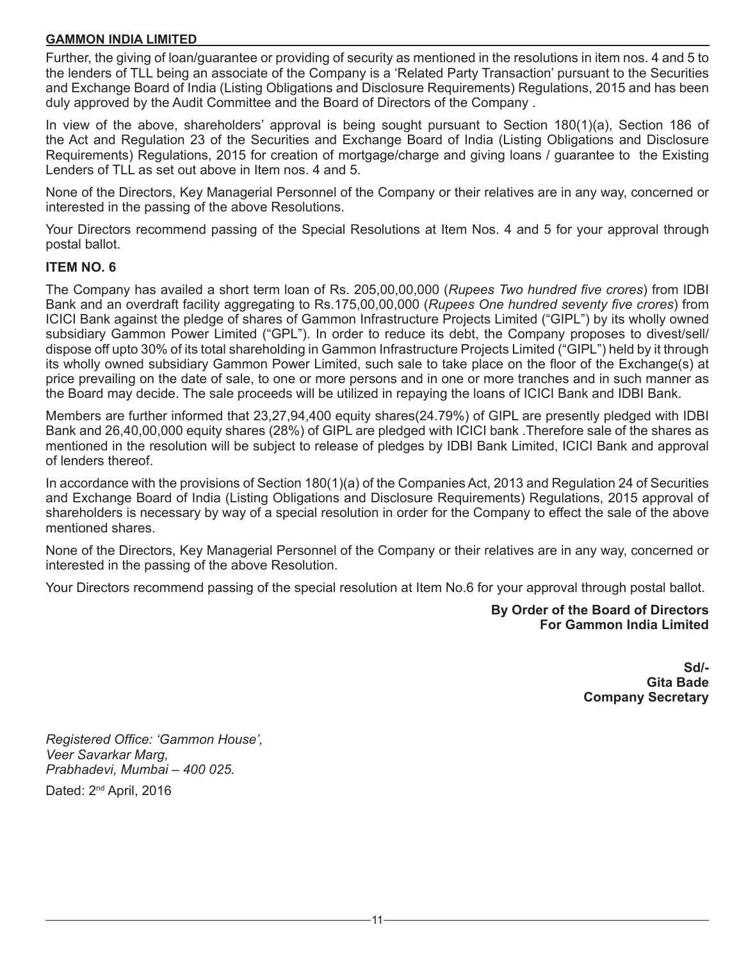Further, the giving of loan/guarantee or providing of security as mentioned in the resolutions in item nos. 4 and 5 to the lenders of TLL being an associate of the Company is a 'Related Party Transaction' pursuant to the Securities and Exchange Board of India (Listing Obligations and Disclosure Requirements) Regulations, 2015 and has been duly approved by the Audit Committee and the Board of Directors of the Company .

In view of the above, shareholders' approval is being sought pursuant to Section 180(1)(a), Section 186 of the Act and Regulation 23 of the Securities and Exchange Board of India (Listing Obligations and Disclosure Requirements) Regulations, 2015 for creation of mortgage/charge and giving loans / guarantee to the Existing Lenders of TLL as set out above in Item nos. 4 and 5.

None of the Directors, Key Managerial Personnel of the Company or their relatives are in any way, concerned or interested in the passing of the above Resolutions.

Your Directors recommend passing of the Special Resolutions at Item Nos. 4 and 5 for your approval through postal ballot.

### **ITEM NO. 6**

The Company has availed a short term loan of Rs. 205,00,00,000 (*Rupees Two hundred five crores*) from IDBI Bank and an overdraft facility aggregating to Rs.175,00,00,000 (*Rupees One hundred seventy five crores*) from ICICI Bank against the pledge of shares of Gammon Infrastructure Projects Limited ("GIPL") by its wholly owned subsidiary Gammon Power Limited ("GPL"). In order to reduce its debt, the Company proposes to divest/sell/ dispose off upto 30% of its total shareholding in Gammon Infrastructure Projects Limited ("GIPL") held by it through its wholly owned subsidiary Gammon Power Limited, such sale to take place on the floor of the Exchange(s) at price prevailing on the date of sale, to one or more persons and in one or more tranches and in such manner as the Board may decide. The sale proceeds will be utilized in repaying the loans of ICICI Bank and IDBI Bank.

Members are further informed that 23,27,94,400 equity shares(24.79%) of GIPL are presently pledged with IDBI Bank and 26,40,00,000 equity shares (28%) of GIPL are pledged with ICICI bank .Therefore sale of the shares as mentioned in the resolution will be subject to release of pledges by IDBI Bank Limited, ICICI Bank and approval of lenders thereof.

In accordance with the provisions of Section 180(1)(a) of the Companies Act, 2013 and Regulation 24 of Securities and Exchange Board of India (Listing Obligations and Disclosure Requirements) Regulations, 2015 approval of shareholders is necessary by way of a special resolution in order for the Company to effect the sale of the above mentioned shares.

None of the Directors, Key Managerial Personnel of the Company or their relatives are in any way, concerned or interested in the passing of the above Resolution.

Your Directors recommend passing of the special resolution at Item No.6 for your approval through postal ballot.

**By Order of the Board of Directors For Gammon India Limited**

> **Sd/- Gita Bade Company Secretary**

*Registered Office: 'Gammon House', Veer Savarkar Marg, Prabhadevi, Mumbai – 400 025.*

Dated: 2<sup>nd</sup> April, 2016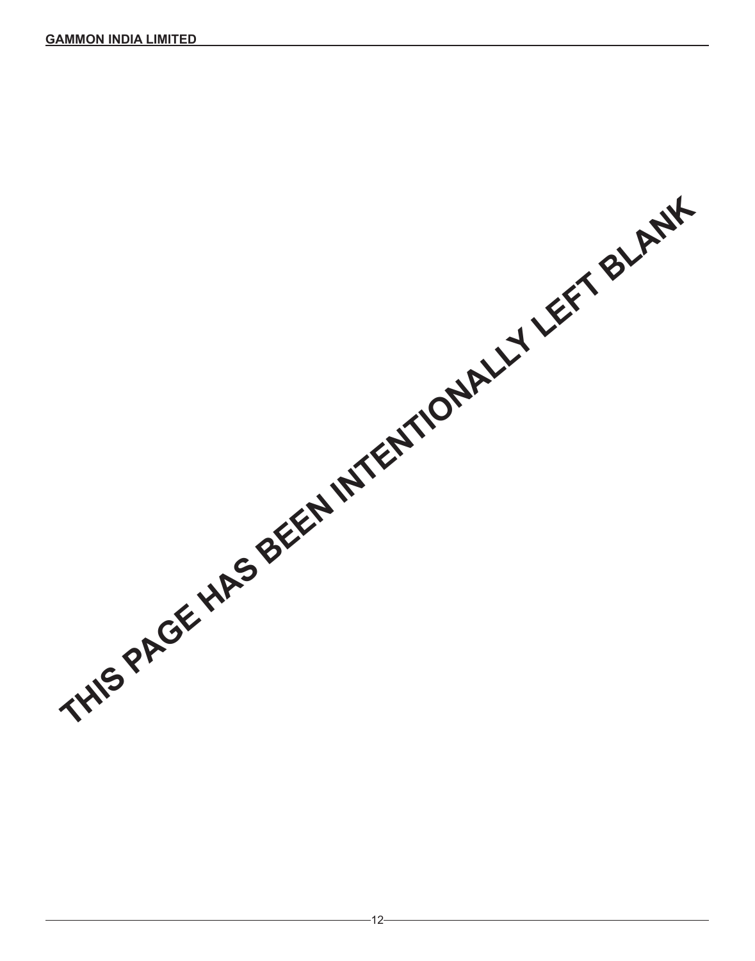THIS PAGE HAS BEEN INTENTIONALLY LEFT BLANK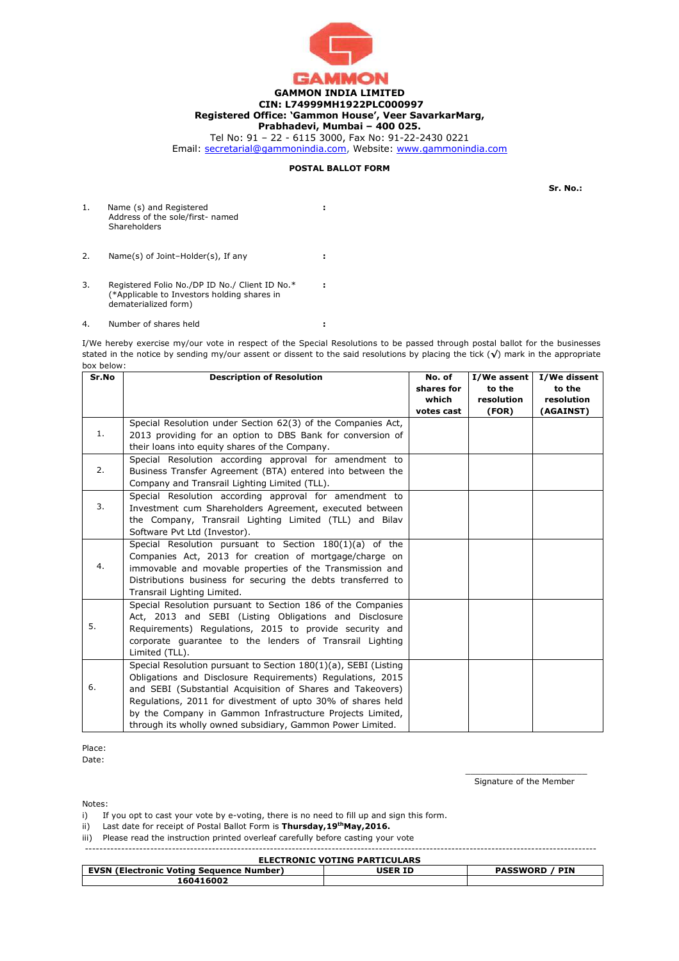

#### **GAMMON INDIA LIMITED CIN: L74999MH1922PLC000997 Registered Office: 'Gammon House', Veer SavarkarMarg, Prabhadevi, Mumbai – 400 025.**

Tel No: 91 – 22 - 6115 3000, Fax No: 91-22-2430 0221 Email: secretarial@gammonindia.com, Website: www.gammonindia.com

#### **POSTAL BALLOT FORM**

**Sr. No.:** 

- 1. Name (s) and Registered Address of the sole/first- named Shareholders **:**
- 2. Name(s) of Joint–Holder(s), If any **:**
- 3. Registered Folio No./DP ID No./ Client ID No.\* (\*Applicable to Investors holding shares in dematerialized form)
- 4. Number of shares held **:**

I/We hereby exercise my/our vote in respect of the Special Resolutions to be passed through postal ballot for the businesses stated in the notice by sending my/our assent or dissent to the said resolutions by placing the tick (**√**) mark in the appropriate box below:

**:**

| Sr.No | <b>Description of Resolution</b>                                | No. of     | I/We assent | I/We dissent |
|-------|-----------------------------------------------------------------|------------|-------------|--------------|
|       |                                                                 | shares for | to the      | to the       |
|       |                                                                 | which      | resolution  | resolution   |
|       |                                                                 | votes cast | (FOR)       | (AGAINST)    |
|       | Special Resolution under Section 62(3) of the Companies Act,    |            |             |              |
| 1.    | 2013 providing for an option to DBS Bank for conversion of      |            |             |              |
|       | their loans into equity shares of the Company.                  |            |             |              |
|       | Special Resolution according approval for amendment to          |            |             |              |
| 2.    | Business Transfer Agreement (BTA) entered into between the      |            |             |              |
|       | Company and Transrail Lighting Limited (TLL).                   |            |             |              |
|       | Special Resolution according approval for amendment to          |            |             |              |
| 3.    | Investment cum Shareholders Agreement, executed between         |            |             |              |
|       | the Company, Transrail Lighting Limited (TLL) and Bilav         |            |             |              |
|       | Software Pvt Ltd (Investor).                                    |            |             |              |
|       | Special Resolution pursuant to Section 180(1)(a) of the         |            |             |              |
|       | Companies Act, 2013 for creation of mortgage/charge on          |            |             |              |
| 4.    | immovable and movable properties of the Transmission and        |            |             |              |
|       | Distributions business for securing the debts transferred to    |            |             |              |
|       | Transrail Lighting Limited.                                     |            |             |              |
|       | Special Resolution pursuant to Section 186 of the Companies     |            |             |              |
|       | Act, 2013 and SEBI (Listing Obligations and Disclosure          |            |             |              |
| 5.    | Requirements) Regulations, 2015 to provide security and         |            |             |              |
|       | corporate guarantee to the lenders of Transrail Lighting        |            |             |              |
|       | Limited (TLL).                                                  |            |             |              |
|       | Special Resolution pursuant to Section 180(1)(a), SEBI (Listing |            |             |              |
|       | Obligations and Disclosure Requirements) Regulations, 2015      |            |             |              |
| 6.    | and SEBI (Substantial Acquisition of Shares and Takeovers)      |            |             |              |
|       | Regulations, 2011 for divestment of upto 30% of shares held     |            |             |              |
|       | by the Company in Gammon Infrastructure Projects Limited,       |            |             |              |
|       | through its wholly owned subsidiary, Gammon Power Limited.      |            |             |              |

Place:

Date:

Signature of the Member

Notes:

i) If you opt to cast your vote by e-voting, there is no need to fill up and sign this form.

ii) Last date for receipt of Postal Ballot Form is **Thursday,19thMay,2016.**

iii) Please read the instruction printed overleaf carefully before casting your vote

 --------------------------------------------------------------------------------------------------------------------------------------------- **ELECTRONIC VOTING PARTICULARS** 

 $\overline{\phantom{a}}$  , and the contract of the contract of the contract of the contract of the contract of the contract of the contract of the contract of the contract of the contract of the contract of the contract of the contrac

| <b>ELECTRONIC VOTING PARTICULARS</b>            |                |                       |  |  |  |
|-------------------------------------------------|----------------|-----------------------|--|--|--|
| <b>EVSN (Electronic Voting Sequence Number)</b> | <b>USER ID</b> | <b>PASSWORD / PIN</b> |  |  |  |
| 160416002                                       |                |                       |  |  |  |